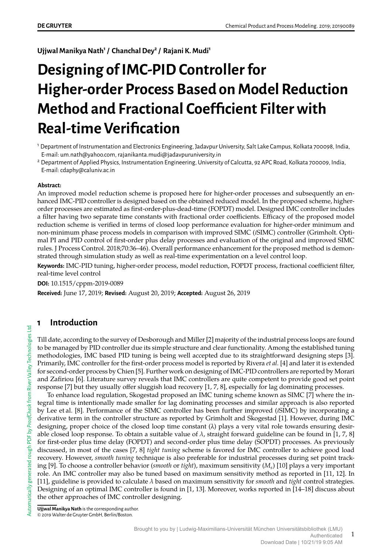**Ujjwal Manikya Nath<sup>1</sup> / Chanchal Dey<sup>2</sup> / Rajani K. Mudi<sup>1</sup>**

# **Designing of IMC-PID Controller for Higher-order Process Based on Model Reduction Method and Fractional Coefficient Filter with Real-time Verification**

<sup>1</sup> Department of Instrumentation and Electronics Engineering, Jadavpur University, Salt Lake Campus, Kolkata 700098, India, E-mail: um.nath@yahoo.com, rajanikanta.mudi@jadavpuruniversity.in

<sup>2</sup> Department of Applied Physics, Instrumentation Engineering, University of Calcutta, 92 APC Road, Kolkata 700009, India, E-mail: cdaphy@caluniv.ac.in

#### **Abstract:**

An improved model reduction scheme is proposed here for higher-order processes and subsequently an enhanced IMC-PID controller is designed based on the obtained reduced model. In the proposed scheme, higherorder processes are estimated as first-order-plus-dead-time (FOPDT) model. Designed IMC controller includes a filter having two separate time constants with fractional order coefficients. Efficacy of the proposed model reduction scheme is verified in terms of closed loop performance evaluation for higher-order minimum and non-minimum phase process models in comparison with improved SIMC (*i*SIMC) controller (Grimholt. Optimal PI and PID control of first-order plus delay processes and evaluation of the original and improved SIMC rules. J Process Control. 2018;70:36–46). Overall performance enhancement for the proposed method is demonstrated through simulation study as well as real-time experimentation on a level control loop.

**Keywords:** IMC-PID tuning, higher-order process, model reduction, FOPDT process, fractional coefficient filter, real-time level control

**DOI:** 10.1515/cppm-2019-0089

**Received:** June 17, 2019; **Revised:** August 20, 2019; **Accepted:** August 26, 2019

# **1 Introduction**

Till date, according to the survey of Desborough and Miller [2] majority of the industrial process loops are found to be managed by PID controller due its simple structure and clear functionality. Among the established tuning methodologies, IMC based PID tuning is being well accepted due to its straightforward designing steps [3]. Primarily, IMC controller for the first-order process model is reported by Rivera *et al.* [4] and later it is extended for second-order process by Chien [5]. Further work on designing of IMC-PID controllers are reported by Morari and Zafiriou [6]. Literature survey reveals that IMC controllers are quite competent to provide good set point response [7] but they usually offer sluggish load recovery [1, 7, 8], especially for lag dominating processes.

To enhance load regulation, Skogestad proposed an IMC tuning scheme known as SIMC [7] where the integral time is intentionally made smaller for lag dominating processes and similar approach is also reported by Lee et al. [8]. Performance of the SIMC controller has been further improved (*i*SIMC) by incorporating a derivative term in the controller structure as reported by Grimholt and Skogestad [1]. However, during IMC designing, proper choice of the closed loop time constant (λ) plays a very vital role towards ensuring desirable closed loop response. To obtain a suitable value of  $\lambda$ , straight forward guideline can be found in [1, 7, 8] for first-order plus time delay (FOPDT) and second-order plus time delay (SOPDT) processes. As previously discussed, in most of the cases [7, 8] *tight tuning* scheme is favored for IMC controller to achieve good load recovery. However, *smooth tuning* technique is also preferable for industrial processes during set point tracking [9]. To choose a controller behavior (*smooth* or *tight*), maximum sensitivity (*M<sup>s</sup>* ) [10] plays a very important role. An IMC controller may also be tuned based on maximum sensitivity method as reported in [11, 12]. In [11], guideline is provided to calculate  $\lambda$  based on maximum sensitivity for *smooth* and *tight* control strategies. Designing of an optimal IMC controller is found in [1, 13]. Moreover, works reported in [14–18] discuss about the other approaches of IMC controller designing.

**Ujjwal Manikya Nath** is the corresponding author. © 2019 Walter de Gruyter GmbH, Berlin/Boston.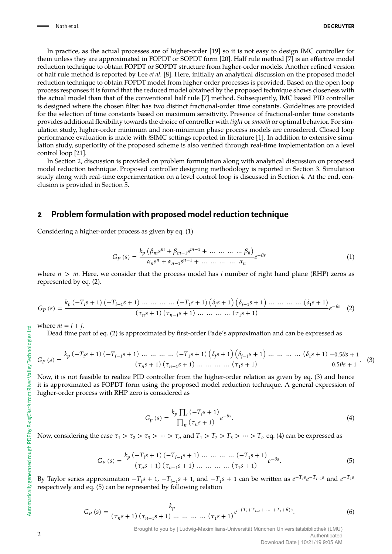In practice, as the actual processes are of higher-order [19] so it is not easy to design IMC controller for them unless they are approximated in FOPDT or SOPDT form [20]. Half rule method [7] is an effective model reduction technique to obtain FOPDT or SOPDT structure from higher-order models. Another refined version of half rule method is reported by Lee *et al.* [8]. Here, initially an analytical discussion on the proposed model reduction technique to obtain FOPDT model from higher-order processes is provided. Based on the open loop process responses it is found that the reduced model obtained by the proposed technique shows closeness with the actual model than that of the conventional half rule [7] method. Subsequently, IMC based PID controller is designed where the chosen filter has two distinct fractional-order time constants. Guidelines are provided for the selection of time constants based on maximum sensitivity. Presence of fractional-order time constants provides additional flexibility towards the choice of controller with *tight* or *smooth* or optimal behavior. For simulation study, higher-order minimum and non-minimum phase process models are considered. Closed loop performance evaluation is made with *i*SIMC settings reported in literature [1]. In addition to extensive simulation study, superiority of the proposed scheme is also verified through real-time implementation on a level control loop [21].

In Section 2, discussion is provided on problem formulation along with analytical discussion on proposed model reduction technique. Proposed controller designing methodology is reported in Section 3. Simulation study along with real-time experimentation on a level control loop is discussed in Section 4. At the end, conclusion is provided in Section 5.

## **2 Problem formulation with proposed model reduction technique**

Considering a higher-order process as given by eq. (1)

$$
G_P(s) = \frac{k_p \left(\beta_m s^m + \beta_{m-1} s^{m-1} + \dots + \dots + \beta_0\right)}{\alpha_n s^n + \alpha_{n-1} s^{n-1} + \dots + \dots + \alpha_n} e^{-\theta s}
$$
(1)

where  $n > m$ . Here, we consider that the process model has *i* number of right hand plane (RHP) zeros as represented by eq. (2).

$$
G_P(s) = \frac{k_p \left(-T_i s + 1\right) \left(-T_{i-1} s + 1\right) \dots \dots \dots \dots \left(-T_1 s + 1\right) \left(\delta_j s + 1\right) \left(\delta_{j-1} s + 1\right) \dots \dots \dots \dots \left(\delta_1 s + 1\right)}{\left(\tau_n s + 1\right) \left(\tau_{n-1} s + 1\right) \dots \dots \dots \dots \left(\tau_1 s + 1\right)} e^{-\theta s} \tag{2}
$$

where  $m = i + j$ .

Dead time part of eq. (2) is approximated by first-order Pade's approximation and can be expressed as

$$
G_P(s) = \frac{k_p \left(-T_i s + 1\right) \left(-T_{i-1} s + 1\right) \dots \dots \dots \left(-T_1 s + 1\right) \left(\delta_j s + 1\right) \left(\delta_{j-1} s + 1\right) \dots \dots \dots \dots \left(\delta_1 s + 1\right) - 0.5\theta s + 1}{\left(\tau_n s + 1\right) \left(\tau_{n-1} s + 1\right) \dots \dots \dots \dots \left(\tau_1 s + 1\right)} \frac{\left(\delta_{j-1} s + 1\right) \dots \dots \dots \dots \left(\delta_1 s + 1\right) \dots \dots \dots \dots \left(\delta_1 s + 1\right)}{0.5\theta s + 1}.
$$
 (3)

Now, it is not feasible to realize PID controller from the higher-order relation as given by eq. (3) and hence it is approximated as FOPDT form using the proposed model reduction technique. A general expression of higher-order process with RHP zero is considered as

$$
G_p(s) = \frac{k_p \prod_i (-T_i s + 1)}{\prod_n (\tau_n s + 1)} e^{-\theta s}.
$$
\n(4)

Now, considering the case  $\tau_1 > \tau_2 > \tau_3 > \cdots > \tau_n$  and  $T_1 > T_2 > T_3 > \cdots > T_i$ . eq. (4) can be expressed as

$$
G_P(s) = \frac{k_p \left(-T_i s + 1\right) \left(-T_{i-1} s + 1\right) \dots \dots \dots \dots \left(-T_1 s + 1\right)}{\left(\tau_n s + 1\right) \left(\tau_{n-1} s + 1\right) \dots \dots \dots \dots \left(\tau_1 s + 1\right)} e^{-\theta s}.
$$
\n(5)

By Taylor series approximation  $-T_i s + 1$ ,  $-T_{i-1} s + 1$ , and  $-T_1 s + 1$  can be written as  $e^{-T_i s} e^{-T_{i-1} s}$  and  $e^{-T_i s}$ respectively and eq. (5) can be represented by following relation

$$
G_P(s) = \frac{k_p}{(\tau_n s + 1) (\tau_{n-1} s + 1) \dots \dots \dots \dots (\tau_1 s + 1)} e^{-(T_i + T_{i-1} + \dots + T_1 + \theta)s}.
$$
(6)

Download Date | 10/21/19 9:05 AM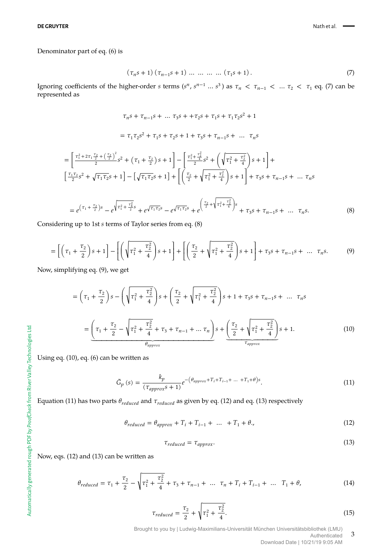#### Denominator part of eq. (6) is

$$
(\tau_n s + 1) (\tau_{n-1} s + 1) \dots \dots \dots \dots (\tau_1 s + 1).
$$
 (7)

Ignoring coefficients of the higher-order *s* terms ( $s^n$ ,  $s^{n-1}$  ...  $s^3$ ) as  $\tau_n < \tau_{n-1} < \dots \tau_2 < \tau_1$  eq. (7) can be represented as

$$
\tau_n s + \tau_{n-1} s + \dots \tau_3 s + \tau_2 s + \tau_1 s + \tau_1 \tau_2 s^2 + 1
$$

$$
= \tau_1 \tau_2 s^2 + \tau_1 s + \tau_2 s + 1 + \tau_3 s + \tau_{n-1} s + \dots \tau_n s
$$

$$
\frac{a}{2} + \left(\frac{\tau_2}{2}\right)^2 s + \dots \tau_n s \qquad \left[\tau_1^2 + \frac{\tau_2^2}{2} s + \left(\frac{\tau_3}{2} + \frac{\tau_2^2}{2}\right) \right]
$$

$$
= \left[ \frac{\tau_1^2 + 2\tau_1 \frac{\tau_2}{2} + (\frac{\tau_2}{2})^2}{2} s^2 + (\tau_1 + \frac{\tau_2}{2}) s + 1 \right] - \left[ \frac{\tau_1^2 + \frac{\tau_2^2}{4}}{2} s^2 + (\sqrt{\tau_1^2 + \frac{\tau_2^2}{4}}) s + 1 \right] + \left[ \frac{\tau_1 \tau_2}{2} s^2 + \sqrt{\tau_1 \tau_2} s + 1 \right] - \left[ \sqrt{\tau_1 \tau_2} s + 1 \right] + \left[ \left( \frac{\tau_2}{2} + \sqrt{\tau_1^2 + \frac{\tau_2^2}{4}} \right) s + 1 \right] + \tau_3 s + \tau_{n-1} s + \dots \tau_n s
$$

$$
=e^{(\tau_1+\frac{\tau_2}{2})s}-e^{\sqrt{\tau_1^2+\frac{\tau_4^2}{2}s}}+e^{\sqrt{\tau_1\tau_2}s}-e^{\sqrt{\tau_1\tau_2}s}+e^{\left(\frac{\tau_2}{2}+\sqrt{\tau_1^2+\frac{\tau_2^2}{4}}\right)s}+\tau_3s+\tau_{n-1}s+\dots\tau_ns.
$$
\n(8)

Considering up to 1st *s* terms of Taylor series from eq. (8)

$$
= \left[ \left( \tau_1 + \frac{\tau_2}{2} \right) s + 1 \right] - \left[ \left( \sqrt{\tau_1^2 + \frac{\tau_2^2}{4}} \right) s + 1 \right] + \left[ \left( \frac{\tau_2}{2} + \sqrt{\tau_1^2 + \frac{\tau_2^2}{4}} \right) s + 1 \right] + \tau_3 s + \tau_{n-1} s + \dots \tau_n s. \tag{9}
$$

Now, simplifying eq. (9), we get

$$
= \left(\tau_1 + \frac{\tau_2}{2}\right)s - \left(\sqrt{\tau_1^2 + \frac{\tau_2^2}{4}}\right)s + \left(\frac{\tau_2}{2} + \sqrt{\tau_1^2 + \frac{\tau_2^2}{4}}\right)s + 1 + \tau_3s + \tau_{n-1}s + \dots \tau_n s
$$

$$
= \left(\tau_1 + \frac{\tau_2}{2} - \sqrt{\tau_1^2 + \frac{\tau_2^2}{4}} + \tau_3 + \tau_{n-1} + \dots + \tau_n\right)s + \left(\frac{\tau_2}{2} + \sqrt{\tau_1^2 + \frac{\tau_2^2}{4}}\right)s + 1. \tag{10}
$$

Using eq. (10), eq. (6) can be written as

$$
\tilde{G}_p \left( s \right) = \frac{k_p}{\left( \tau_{approx} s + 1 \right)} e^{-\left( \theta_{approx} + T_i + T_{i-1} + \dots + T_1 + \theta \right) s}.
$$
\n
$$
(11)
$$

Equation (11) has two parts  $\theta_{reduced}$  and  $\tau_{reduced}$  as given by eq. (12) and eq. (13) respectively

$$
\theta_{reduced} = \theta_{approx} + T_i + T_{i-1} + \dots + T_1 + \theta. \tag{12}
$$

$$
\tau_{reduced} = \tau_{approx}. \tag{13}
$$

Now, eqs. (12) and (13) can be written as

$$
\theta_{reduced} = \tau_1 + \frac{\tau_2}{2} - \sqrt{\tau_1^2 + \frac{\tau_2^2}{4}} + \tau_3 + \tau_{n-1} + \dots \tau_n + T_i + T_{i-1} + \dots \ T_1 + \theta,\tag{14}
$$

$$
\tau_{reduced} = \frac{\tau_2}{2} + \sqrt{\tau_1^2 + \frac{\tau_2^2}{4}}.\tag{15}
$$

Brought to you by | Ludwig-Maximilians-Universität München Universitätsbibliothek (LMU) **Authenticated** 

3

Download Date | 10/21/19 9:05 AM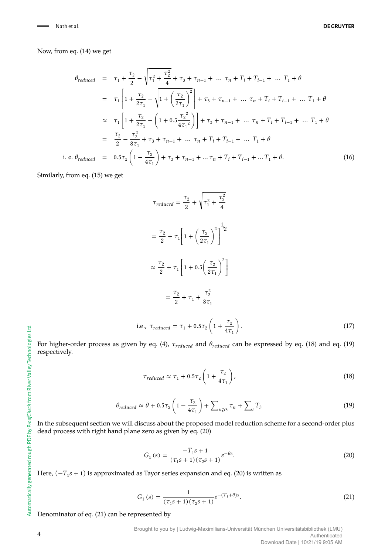Now, from eq. (14) we get

$$
\theta_{reduced} = \tau_1 + \frac{\tau_2}{2} - \sqrt{\tau_1^2 + \frac{\tau_2^2}{4}} + \tau_3 + \tau_{n-1} + \dots + \tau_n + T_i + T_{i-1} + \dots + T_1 + \theta
$$
\n
$$
= \tau_1 \left[ 1 + \frac{\tau_2}{2\tau_1} - \sqrt{1 + \left(\frac{\tau_2}{2\tau_1}\right)^2} \right] + \tau_3 + \tau_{n-1} + \dots + \tau_n + T_i + T_{i-1} + \dots + T_1 + \theta
$$
\n
$$
\approx \tau_1 \left[ 1 + \frac{\tau_2}{2\tau_1} - \left( 1 + 0.5 \frac{\tau_2^2}{4\tau_1^2} \right) \right] + \tau_3 + \tau_{n-1} + \dots + \tau_n + T_i + T_{i-1} + \dots + T_1 + \theta
$$
\n
$$
= \frac{\tau_2}{2} - \frac{\tau_2^2}{8\tau_1} + \tau_3 + \tau_{n-1} + \dots + \tau_n + T_i + T_{i-1} + \dots + T_1 + \theta
$$
\ni.e.  $\theta_{reduced} = 0.5\tau_2 \left( 1 - \frac{\tau_2}{4\tau_1} \right) + \tau_3 + \tau_{n-1} + \dots + \tau_n + T_i + T_{i-1} + \dots + T_1 + \theta.$ \n(16)

Similarly, from eq. (15) we get

$$
\tau_{reduced} = \frac{\tau_2}{2} + \sqrt{\tau_1^2 + \frac{\tau_2^2}{4}}
$$
  
=  $\frac{\tau_2}{2} + \tau_1 \left[ 1 + \left( \frac{\tau_2}{2\tau_1} \right)^2 \right]^{1/2}$   

$$
\approx \frac{\tau_2}{2} + \tau_1 \left[ 1 + 0.5 \left( \frac{\tau_2}{2\tau_1} \right)^2 \right]
$$
  
=  $\frac{\tau_2}{2} + \tau_1 + \frac{\tau_2^2}{8\tau_1}$ 

i.e.,  $\tau_{reduced} = \tau_1 + 0.5\tau_2 \left(1 + \frac{\tau_2}{4\tau}\right)$  $4\tau_1$  $\left| . \right|$  (17)

For higher-order process as given by eq. (4),  $\tau_{reduced}$  and  $\theta_{reduced}$  can be expressed by eq. (18) and eq. (19) respectively.

$$
\tau_{reduced} \approx \tau_1 + 0.5\tau_2 \left(1 + \frac{\tau_2}{4\tau_1}\right),\tag{18}
$$

$$
\theta_{reduced} \approx \theta + 0.5\tau_2 \left(1 - \frac{\tau_2}{4\tau_1}\right) + \sum_{n \ge 3} \tau_n + \sum_i T_i.
$$
 (19)

In the subsequent section we will discuss about the proposed model reduction scheme for a second-order plus dead process with right hand plane zero as given by eq. (20)

$$
G_1(s) = \frac{-T_1s + 1}{(\tau_1s + 1)(\tau_2s + 1)} e^{-\theta s}.
$$
\n(20)

Here,  $(-T_1s + 1)$  is approximated as Tayor series expansion and eq. (20) is written as

$$
G_1(s) = \frac{1}{(\tau_1 s + 1)(\tau_2 s + 1)} e^{-(T_1 + \theta)s}.
$$
\n(21)

Denominator of eq. (21) can be represented by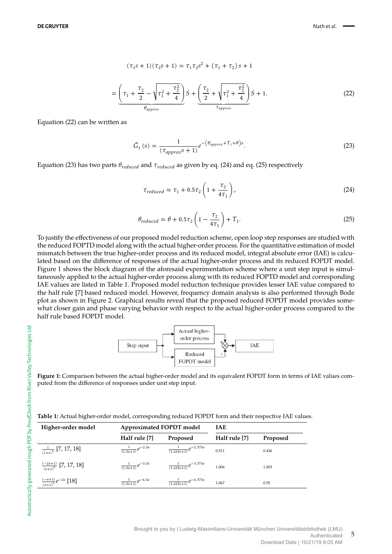$$
(\tau_1 s + 1)(\tau_2 s + 1) = \tau_1 \tau_2 s^2 + (\tau_1 + \tau_2) s + 1
$$

$$
= \left(\tau_1 + \frac{\tau_2}{2} - \sqrt{\tau_1^2 + \frac{\tau_2^2}{4}}\right) S + \left(\frac{\tau_2}{2} + \sqrt{\tau_1^2 + \frac{\tau_2^2}{4}}\right) S + 1.
$$
(22)

Equation (22) can be written as

$$
\tilde{G}_1(s) = \frac{1}{(\tau_{approx}s + 1)} e^{-\left(\theta_{approx} + T_1 + \theta\right)s}.
$$
\n(23)

Equation (23) has two parts  $\theta_{reduced}$  and  $\tau_{reduced}$  as given by eq. (24) and eq. (25) respectively

$$
\tau_{reduced} \approx \tau_1 + 0.5\tau_2 \left(1 + \frac{\tau_2}{4\tau_1}\right),\tag{24}
$$

$$
\theta_{reduced} \approx \theta + 0.5\tau_2 \left(1 - \frac{\tau_2}{4\tau_1}\right) + T_1. \tag{25}
$$

To justify the effectiveness of our proposed model reduction scheme, open loop step responses are studied with the reduced FOPTD model along with the actual higher-order process. For the quantitative estimation of model mismatch between the true higher-order process and its reduced model, integral absolute error (IAE) is calculated based on the difference of responses of the actual higher-order process and its reduced FOPDT model. Figure 1 shows the block diagram of the aforesaid experimentation scheme where a unit step input is simultaneously applied to the actual higher-order process along with its reduced FOPTD model and corresponding IAE values are listed in Table 1. Proposed model reduction technique provides lesser IAE value compared to the half rule [7] based reduced model. However, frequency domain analysis is also performed through Bode plot as shown in Figure 2. Graphical results reveal that the proposed reduced FOPDT model provides somewhat closer gain and phase varying behavior with respect to the actual higher-order process compared to the half rule based FOPDT model.



**Figure 1:** Comparison between the actual higher-order model and its equivalent FOPDT form in terms of IAE values computed from the difference of responses under unit step input.

| Table 1: Actual higher-order model, corresponding reduced FOPDT form and their respective IAE values. |  |  |  |
|-------------------------------------------------------------------------------------------------------|--|--|--|
|                                                                                                       |  |  |  |

| Higher-order model                    | Approximated FOPDT model      |                                   | <b>IAE</b>    |          |  |
|---------------------------------------|-------------------------------|-----------------------------------|---------------|----------|--|
|                                       | Half rule [7]                 | Proposed                          | Half rule [7] | Proposed |  |
| $\frac{1}{(1+s)^4}$ [7, 17, 18]       | $\frac{1}{(1.5s+1)}e^{-2.5s}$ | $\frac{1}{(1.625s+1)}e^{-2.375s}$ | 0.511         | 0.436    |  |
| $\frac{(-2s+1)}{(s+1)^3}$ [7, 17, 18] | $\frac{1}{(1.5s+1)}e^{-3.5s}$ | $\frac{1}{(1.625s+1)}e^{-3.375s}$ | 1.006         | 1.005    |  |
| $\frac{(-s+1)}{(s+1)^5}e^{-2s}$ [18]  | $\frac{1}{(1.5s+1)}e^{-6.5s}$ | $\frac{1}{(1.625s+1)}e^{-6.375s}$ | 1.067         | 0.55     |  |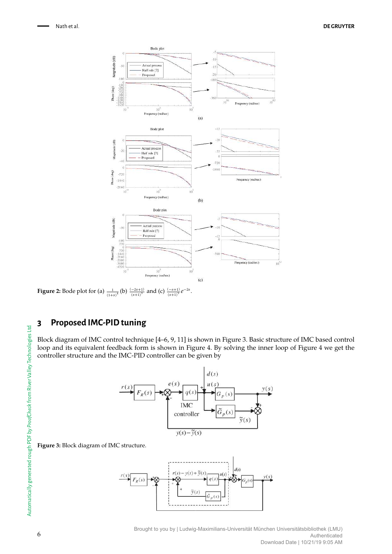

**Figure 2:** Bode plot for (a)  $\frac{1}{(1+s)^4}$  (b)  $\frac{(-2s+1)}{(s+1)^3}$  and (c)  $\frac{(-s+1)}{(s+1)^5}e^{-2s}$ .

# **3 Proposed IMC-PID tuning**

Block diagram of IMC control technique [4–6, 9, 11] is shown in Figure 3. Basic structure of IMC based control loop and its equivalent feedback form is shown in Figure 4. By solving the inner loop of Figure 4 we get the controller structure and the IMC-PID controller can be given by



#### **Figure 3:** Block diagram of IMC structure.

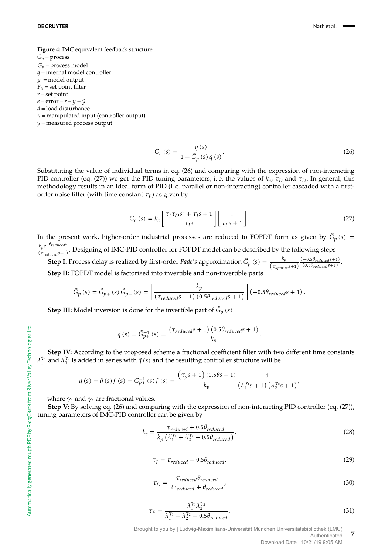#### **DE GRUYTER** Nath et al. **Nath et al.** Nath et al. Nath et al. Nath et al. Nath et al.

**Figure 4:** IMC equivalent feedback structure.  $G_p$  = process  $\tilde{G}_p$  = process model *q* = internal model controller  $\tilde{y}$  = model output  $F_R$  = set point filter  $r =$  set point  $e = error = r - y + \tilde{y}$ *d* = load disturbance

 $u$  = manipulated input (controller output)

*y* = measured process output

$$
G_c(s) = \frac{q(s)}{1 - \tilde{G}_p(s) q(s)}.
$$
\n(26)

Substituting the value of individual terms in eq. (26) and comparing with the expression of non-interacting PID controller (eq. (27)) we get the PID tuning parameters, i.e. the values of  $k_c$ ,  $\tau_I$ , and  $\tau_D$ . In general, this methodology results in an ideal form of PID (i. e. parallel or non-interacting) controller cascaded with a firstorder noise filter (with time constant  $\tau_F$ ) as given by

$$
G_c(s) = k_c \left[ \frac{\tau_I \tau_D s^2 + \tau_I s + 1}{\tau_I s} \right] \left[ \frac{1}{\tau_F s + 1} \right].
$$
 (27)

In the present work, higher-order industrial processes are reduced to FOPDT form as given by  $\hat G_p \left( s \right)$  =  $k_p e$  $k_p e^{-\theta_{reduced}s}$  $\frac{N_p e^{-N} \cdot 1}{(\tau_{reduced} s+1)}$ . Designing of IMC-PID controller for FOPDT model can be described by the following steps –

**Step I**: Process delay is realized by first-order *Pade's* approximation  $\tilde{G}_p$  (*s*) =  $\frac{k_p}{(\tau_{approx} s+1)}$  $\frac{(-0.5\theta_{reduced} s + 1)}{s}$  $\frac{(0.56 \text{ } \text{reduced}5 + 1)}{(0.5\theta_{\text{reduced}}5 + 1)}.$  **Step II**: FOPDT model is factorized into invertible and non-invertible parts

$$
\tilde{G}_p \left( s \right) = \tilde{G}_{p+} \left( s \right) \tilde{G}_{p-} \left( s \right) = \left[ \frac{k_p}{\left( \tau_{reduced} s + 1 \right) \left( 0.5 \theta_{reduced} s + 1 \right)} \right] \left( -0.5 \theta_{reduced} s + 1 \right).
$$

**Step III:** Model inversion is done for the invertible part of  $\tilde{G}_p$  (s)

$$
\tilde{q}(s) = \tilde{G}_{p+}^{-1}(s) = \frac{(\tau_{reduced}s + 1) (0.5\theta_{reduced}s + 1)}{k_p}.
$$

 **Step IV:** According to the proposed scheme a fractional coefficient filter with two different time constants  $\lambda_1^{\gamma_1}$  and  $\lambda_2^{\gamma_2}$  is added in series with  $\tilde{q}$  (s) and the resulting controller structure will be

$$
q(s) = \tilde{q}(s) f(s) = \tilde{G}_{p+}^{-1}(s) f(s) = \frac{(\tau_{p}s + 1)(0.5\theta s + 1)}{k_{p}} \frac{1}{(\lambda_{1}^{\gamma_{1}} s + 1)(\lambda_{2}^{\gamma_{2}} s + 1)},
$$

where  $\gamma_1$  and  $\gamma_2$  are fractional values.

 **Step V:** By solving eq. (26) and comparing with the expression of non-interacting PID controller (eq. (27)), tuning parameters of IMC-PID controller can be given by

$$
k_c = \frac{\tau_{reduced} + 0.5\theta_{reduced}}{k_p \left(\lambda_1^{\gamma_1} + \lambda_2^{\gamma_2} + 0.5\theta_{reduced}\right)},
$$
\n(28)

$$
\tau_I = \tau_{reduced} + 0.5\theta_{reduced},\tag{29}
$$

$$
\tau_D = \frac{\tau_{reduced} \theta_{reduced}}{2\tau_{reduced} + \theta_{reduced}},\tag{30}
$$

$$
\tau_F = \frac{\lambda_1^{\gamma_1} \lambda_2^{\gamma_2}}{\lambda_1^{\gamma_1} + \lambda_2^{\gamma_2} + 0.5 \theta_{reduced}}.
$$
\n(31)

Brought to you by | Ludwig-Maximilians-Universität München Universitätsbibliothek (LMU) Authenticated

Download Date | 10/21/19 9:05 AM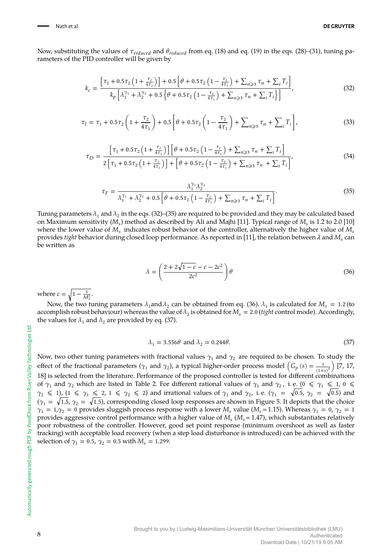Now, substituting the values of  $\tau_{reduced}$  and  $\theta_{reduced}$  from eq. (18) and eq. (19) in the eqs. (28)–(31), tuning parameters of the PID controller will be given by

$$
k_c = \frac{\left[\tau_1 + 0.5\tau_2 \left(1 + \frac{\tau_2}{4\tau_1}\right)\right] + 0.5\left[\theta + 0.5\tau_2 \left(1 - \frac{\tau_2}{4\tau_1}\right) + \sum_{n \geqslant 3} \tau_n + \sum_i T_i\right]}{k_p \left[\lambda_1^{\gamma_1} + \lambda_2^{\gamma_2} + 0.5\left\{\theta + 0.5\tau_2 \left(1 - \frac{\tau_2}{4\tau_1}\right) + \sum_{n \geqslant 3} \tau_n + \sum_i T_i\right\}\right]},
$$
(32)

$$
\tau_{I} = \tau_{1} + 0.5\tau_{2} \left( 1 + \frac{\tau_{2}}{4\tau_{1}} \right) + 0.5 \left[ \theta + 0.5\tau_{2} \left( 1 - \frac{\tau_{2}}{4\tau_{1}} \right) + \sum_{n \geq 3} \tau_{n} + \sum_{i} T_{i} \right],
$$
\n(33)

$$
\tau_D = \frac{\left[\tau_1 + 0.5\tau_2 \left(1 + \frac{\tau_2}{4\tau_1}\right)\right] \left[\theta + 0.5\tau_2 \left(1 - \frac{\tau_2}{4\tau_1}\right) + \sum_{n \geqslant 3} \tau_n + \sum_i T_i\right]}{2\left[\tau_1 + 0.5\tau_2 \left(1 + \frac{\tau_2}{4\tau_1}\right)\right] + \left[\theta + 0.5\tau_2 \left(1 - \frac{\tau_2}{4\tau_1}\right) + \sum_{n \geqslant 3} \tau_n + \sum_i T_i\right]},\tag{34}
$$

$$
\tau_F = \frac{\lambda_1^{\gamma_1} \lambda_2^{\gamma_2}}{\lambda_1^{\gamma_1} + \lambda_2^{\gamma_2} + 0.5 \left[ \theta + 0.5 \tau_2 \left( 1 - \frac{\tau_2}{4\tau_1} \right) + \sum_{n \ge 3} \tau_n + \sum_i T_i \right]}.
$$
\n(35)

Tuning parameters  $\lambda_1$  and  $\lambda_2$  in the eqs. (32)–(35) are required to be provided and they may be calculated based on Maximum sensitivity ( $M_s$ ) method as described by Ali and Majhi [11]. Typical range of  $M_s$  is 1.2 to 2.0 [10] where the lower value of  $M_s$  indicates robust behavior of the controller, alternatively the higher value of  $M_s$ provides *tight* behavior during closed loop performance. As reported in [11], the relation between *λ* and M<sub>s</sub> can<br>· be written as

$$
\lambda = \left(\frac{2 + 2\sqrt{1 - c} - c - 2c^2}{2c^2}\right)\theta\tag{36}
$$

where  $c = \sqrt{1 - \frac{1}{M_s^2}}$ .

Now, the two tuning parameters  $\lambda_1$  and  $\lambda_2$  can be obtained from eq. (36).  $\lambda_1$  is calculated for  $M_s = 1.2$  (to accomplish robust behaviour) whereas the value of  $\lambda_2$  is obtained for  $M_s = 2.0$  (*tight* control mode). Accordingly, the values for  $\lambda_1$  and  $\lambda_2$  are provided by eq. (37).

$$
\lambda_1 = 3.556\theta \text{ and } \lambda_2 = 0.244\theta. \tag{37}
$$

Now, two other tuning parameters with fractional values  $\gamma_1$  and  $\gamma_2$  are required to be chosen. To study the effect of the fractional parameters ( $\gamma_1$  and  $\gamma_2$ ), a typical higher-order process model  $(G_p(s) = \frac{1}{(1+s)^4})$  [7, 17, 18] is selected from the literature. Performance of the proposed controller is tested for different combinations of  $\gamma_1$  and  $\gamma_2$  which are listed in Table 2. For different rational values of  $\gamma_1$  and  $\gamma_2$ , i.e. ( $0 \le \gamma_1 \le 1$ ,  $0 \le$  $\gamma_2 \leq 1$ ),  $(1 \leq \gamma_1 \leq 2, 1 \leq \gamma_2 \leq 2)$  and irrational values of  $\gamma_1$  and  $\gamma_2$ , i.e.  $(\gamma_1 = \sqrt{0.5}, \gamma_2 = \sqrt{0.5})$  and  $(\gamma_1 = \sqrt{1.5}, \gamma_2 = \sqrt{1.5})$ , corresponding closed loop responses are shown in Figure 5. It depicts that the choice  $\gamma_1 = 1, \gamma_2 = 0$  provides sluggish process response with a lower  $M_s$  value ( $M_s = 1.15$ ). Whereas  $\gamma_1 = 0$ ,  $\gamma_2 = 1$ provides aggressive control performance with a higher value of (*M<sup>s</sup>* = 1.47), which substantiates relatively poor robustness of the controller. However, good set point response (minimum overshoot as well as faster tracking) with acceptable load recovery (when a step load disturbance is introduced) can be achieved with the selection of  $\gamma_1 = 0.5$ ,  $\gamma_2 = 0.5$  with  $M_s = 1.299$ .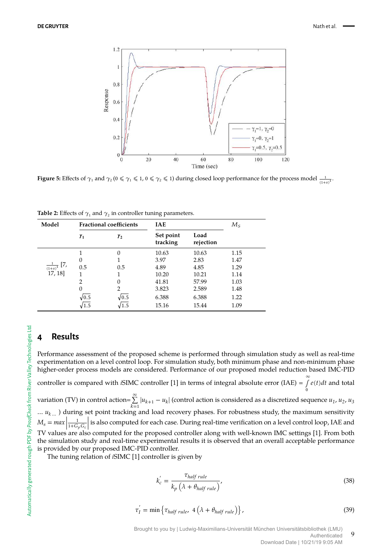

**Figure 5:** Effects of  $\gamma_1$  and  $\gamma_2$  ( $0 \le \gamma_1 \le 1$ ,  $0 \le \gamma_2 \le 1$ ) during closed loop performance for the process model  $\frac{1}{(1+s)^4}$ .

| Model                              |                | <b>Fractional coefficients</b> | <b>IAE</b>            |                   | $M_{\rm S}$ |  |  |
|------------------------------------|----------------|--------------------------------|-----------------------|-------------------|-------------|--|--|
|                                    | $\gamma_1$     | $\gamma_{2}$                   | Set point<br>tracking | Load<br>rejection |             |  |  |
|                                    |                | $\Omega$                       | 10.63                 | 10.63             | 1.15        |  |  |
|                                    | 0              |                                | 3.97                  | 2.83              | 1.47        |  |  |
| $\frac{1}{(1+s)^4}$ [7,<br>17, 18] | 0.5            | 0.5                            | 4.89                  | 4.85              | 1.29        |  |  |
|                                    |                |                                | 10.20                 | 10.21             | 1.14        |  |  |
|                                    | $\overline{2}$ | $\Omega$                       | 41.81                 | 57.99             | 1.03        |  |  |
|                                    | $\overline{0}$ | 2                              | 3.823                 | 2.589             | 1.48        |  |  |
|                                    | $\sqrt{0.5}$   | $\sqrt{0.5}$                   | 6.388                 | 6.388             | 1.22        |  |  |
|                                    | 1.5            | 1.5                            | 15.16                 | 15.44             | 1.09        |  |  |

**Table 2:** Effects of  $\gamma_1$  and  $\gamma_2$  in controller tuning parameters.

# **4 Results**

Performance assessment of the proposed scheme is performed through simulation study as well as real-time experimentation on a level control loop. For simulation study, both minimum phase and non-minimum phase higher-order process models are considered. Performance of our proposed model reduction based IMC-PID

controller is compared with *i*SIMC controller [1] in terms of integral absolute error (IAE) =  $\int_{0}^{\infty} e(t)dt$  and total

variation (TV) in control action= $\sum_{k=1}^{\infty} |u_{k+1} - u_k|$  (control action is considered as a discretized sequence  $u_1, u_2, u_3$ … *u<sup>k</sup>* … ) during set point tracking and load recovery phases. For robustness study, the maximum sensitivity  $M_s = max \left| \frac{1}{1+G_s} \right|$  $\frac{1}{1+G_pG_c}$  is also computed for each case. During real-time verification on a level control loop, IAE and TV values are also computed for the proposed controller along with well-known IMC settings [1]. From both the simulation study and real-time experimental results it is observed that an overall acceptable performance is provided by our proposed IMC-PID controller.

The tuning relation of *i*SIMC [1] controller is given by

$$
k_c' = \frac{\tau_{half\ rule}}{k_p \left(\lambda + \theta_{half\ rule}\right)},\tag{38}
$$

$$
\tau_I^{'} = \min \left\{ \tau_{half\ rule}, \ 4 \left( \lambda + \theta_{half\ rule} \right) \right\}, \tag{39}
$$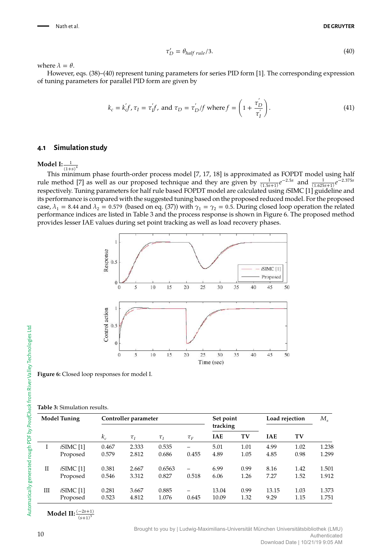$$
\tau'_D = \theta_{half\ rule}/3. \tag{40}
$$

where  $\lambda = \theta$ .

However, eqs. (38)–(40) represent tuning parameters for series PID form [1]. The corresponding expression of tuning parameters for parallel PID form are given by

$$
k_c = k'_{c}f, \tau_I = \tau'_{I}f, \text{ and } \tau_D = \tau'_{D}/f \text{ where } f = \left(1 + \frac{\tau'_{D}}{\tau'_{I}}\right). \tag{41}
$$

#### **4.1 Simulation study**

**Model I:**  $\frac{1}{(1+s)^4}$ 

This minimum phase fourth-order process model [7, 17, 18] is approximated as FOPDT model using half rule method [7] as well as our proposed technique and they are given by  $\frac{1}{(1.5s+1)}e^{-2.5s}$  and  $\frac{1}{(1.625s+1)}e^{-2.375s}$ respectively. Tuning parameters for half rule based FOPDT model are calculated using *i*SIMC [1] guideline and its performance is compared with the suggested tuning based on the proposed reduced model. For the proposed case,  $\lambda_1 = 8.44$  and  $\lambda_2 = 0.579$  (based on eq. (37)) with  $\gamma_1 = \gamma_2 = 0.5$ . During closed loop operation the related performance indices are listed in Table 3 and the process response is shown in Figure 6. The proposed method provides lesser IAE values during set point tracking as well as load recovery phases.



**Figure 6:** Closed loop responses for model I.

**Table 3:** Simulation results.

| <b>Model Tuning</b> |                | Controller parameter |          |          |          | Set point  |      | Load rejection |      | $M_{\rm s}$ |
|---------------------|----------------|----------------------|----------|----------|----------|------------|------|----------------|------|-------------|
|                     |                |                      |          |          |          | tracking   |      |                |      |             |
|                     |                | $k_c$                | $\tau_I$ | $\tau_I$ | $\tau_F$ | <b>IAE</b> | TV   | <b>IAE</b>     | TV   |             |
|                     | iSIMC[1]       | 0.467                | 2.333    | 0.535    |          | 5.01       | 1.01 | 4.99           | 1.02 | 1.238       |
|                     | Proposed       | 0.579                | 2.812    | 0.686    | 0.455    | 4.89       | 1.05 | 4.85           | 0.98 | 1.299       |
| П                   | $i$ SIMC $[1]$ | 0.381                | 2.667    | 0.6563   |          | 6.99       | 0.99 | 8.16           | 1.42 | 1.501       |
|                     | Proposed       | 0.546                | 3.312    | 0.827    | 0.518    | 6.06       | 1.26 | 7.27           | 1.52 | 1.912       |
| Ш                   | $i$ SIMC $[1]$ | 0.281                | 3.667    | 0.885    |          | 13.04      | 0.99 | 13.15          | 1.03 | 1.373       |
|                     | Proposed       | 0.523                | 4.812    | 1.076    | 0.645    | 10.09      | 1.32 | 9.29           | 1.15 | 1.751       |

**Model II:**  $\frac{(-2s+1)}{3}$  $(s+1)^3$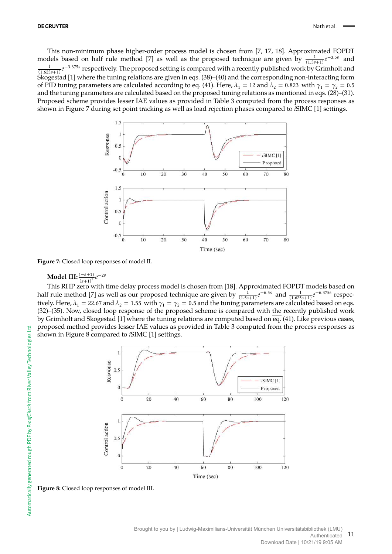This non-minimum phase higher-order process model is chosen from [7, 17, 18]. Approximated FOPDT models based on half rule method [7] as well as the proposed technique are given by  $\frac{1}{(1.5s+1)}e^{-3.5s}$  and  $\frac{1}{2}$   $\frac{3.3755}{2}$  reconstituely. The proposed eetting is compared with a recently published work by  $\frac{1}{(1.55+1)}$  $\frac{1}{(1.625s+1)}e^{-3.375s}$  respectively. The proposed setting is compared with a recently published work by Grimholt and Skogestad [1] where the tuning relations are given in eqs. (38)–(40) and the corresponding non-interacting form of PID tuning parameters are calculated according to eq. (41). Here,  $\lambda_1 = 12$  and  $\lambda_2 = 0.823$  with  $\gamma_1 = \gamma_2 = 0.5$ and the tuning parameters are calculated based on the proposed tuning relations as mentioned in eqs. (28)–(31). Proposed scheme provides lesser IAE values as provided in Table 3 computed from the process responses as shown in Figure 7 during set point tracking as well as load rejection phases compared to *i*SIMC [1] settings.



**Figure 7:** Closed loop responses of model II.

# **Model III:**  $\frac{(-s+1)}{(s+1)^5}e^{-2s}$

This RHP zero with time delay process model is chosen from [18]. Approximated FOPDT models based on half rule method [7] as well as our proposed technique are given by  $\frac{1}{(1.5s+1)}e^{-6.5s}$  and  $\frac{1}{(1.625s+1)}e^{-6.375s}$  respectively. Here,  $\lambda_1 = 22.67$  and  $\lambda_2 = 1.55$  with  $\gamma_1 = \gamma_2 = 0.5$  and the tuning parameters are calculated based on eqs. (32)–(35). Now, closed loop response of the proposed scheme is compared with the recently published work by Grimholt and Skogestad [1] where the tuning relations are computed based on eq. (41). Like previous cases, proposed method provides lesser IAE values as provided in Table 3 computed from the process responses as shown in Figure 8 compared to *i*SIMC [1] settings.



**Figure 8:** Closed loop responses of model III.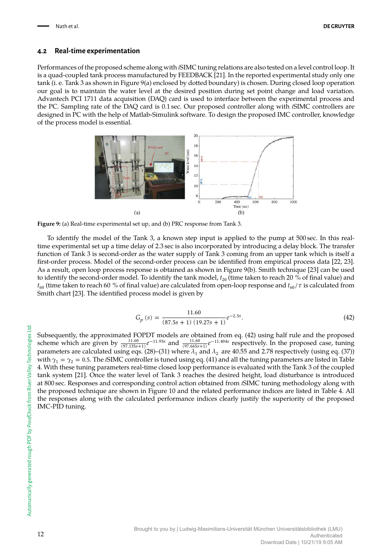#### **4.2 Real-time experimentation**

Performances of the proposed scheme along with *i*SIMC tuning relations are also tested on a level control loop. It is a quad-coupled tank process manufactured by FEEDBACK [21]. In the reported experimental study only one tank (i. e. Tank 3 as shown in Figure 9(a) enclosed by dotted boundary) is chosen. During closed loop operation our goal is to maintain the water level at the desired position during set point change and load variation. Advantech PCI 1711 data acquisition (DAQ) card is used to interface between the experimental process and the PC. Sampling rate of the DAQ card is 0.1 sec. Our proposed controller along with *i*SIMC controllers are designed in PC with the help of Matlab-Simulink software. To design the proposed IMC controller, knowledge of the process model is essential.



**Figure 9:** (a) Real-time experimental set up, and (b) PRC response from Tank 3.

To identify the model of the Tank 3, a known step input is applied to the pump at 500 sec. In this realtime experimental set up a time delay of 2.3 sec is also incorporated by introducing a delay block. The transfer function of Tank 3 is second-order as the water supply of Tank 3 coming from an upper tank which is itself a first-order process. Model of the second-order process can be identified from empirical process data [22, 23]. As a result, open loop process response is obtained as shown in Figure 9(b). Smith technique [23] can be used to identify the second-order model. To identify the tank model,  $t_{20}$  (time taken to reach 20 % of final value) and  $t_{60}$  (time taken to reach 60 % of final value) are calculated from open-loop response and  $t_{60}/\tau$  is calculated from Smith chart [23]. The identified process model is given by

$$
G_p(s) = \frac{11.60}{(87.5s + 1)(19.27s + 1)} e^{-2.3s}.
$$
\n(42)

Subsequently, the approximated FOPDT models are obtained from eq. (42) using half rule and the proposed scheme which are given by  $\frac{11.60}{(97.135s+1)}e^{-11.93s}$  and  $\frac{11.60}{(97.665s+1)}e^{-11.404s}$  respectively. In the proposed case, tuning parameters are calculated using eqs. (28)–(31) where  $\lambda_1$  and  $\lambda_2$  are 40.55 and 2.78 respectively (using eq. (37)) with  $\gamma_1 = \gamma_2 = 0.5$ . The *iSIMC* controller is tuned using eq. (41) and all the tuning parameters are listed in Table 4. With these tuning parameters real-time closed loop performance is evaluated with the Tank 3 of the coupled tank system [21]. Once the water level of Tank 3 reaches the desired height, load disturbance is introduced at 800 sec. Responses and corresponding control action obtained from *i*SIMC tuning methodology along with the proposed technique are shown in Figure 10 and the related performance indices are listed in Table 4. All the responses along with the calculated performance indices clearly justify the superiority of the proposed IMC-PID tuning.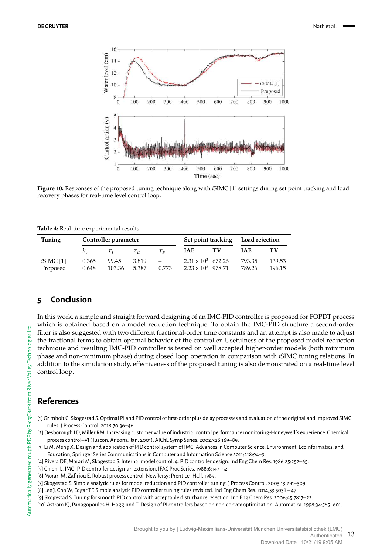

**Figure 10:** Responses of the proposed tuning technique along with *i*SIMC [1] settings during set point tracking and load recovery phases for real-time level control loop.

| <b>Tuning</b> | Controller parameter |                |                |                                 | Set point tracking        |    | Load rejection |        |
|---------------|----------------------|----------------|----------------|---------------------------------|---------------------------|----|----------------|--------|
|               |                      | $\tau_{\rm r}$ | $\tau_{\rm D}$ | ${\tau}_{\scriptscriptstyle E}$ | <b>IAE</b>                | ТV | <b>IAE</b>     | ТV     |
| $iSIMC$ [1]   | 0.365                | 99.45          | 3.819          | $\overline{\phantom{0}}$        | $2.31 \times 10^3$ 672.26 |    | 793.35         | 139.53 |
| Proposed      | 0.648                | 103.36         | 5.387          | 0.773                           | $2.23 \times 10^3$ 978.71 |    | 789.26         | 196.15 |

**Table 4:** Real-time experimental results.

## **5 Conclusion**

In this work, a simple and straight forward designing of an IMC-PID controller is proposed for FOPDT process which is obtained based on a model reduction technique. To obtain the IMC-PID structure a second-order filter is also suggested with two different fractional-order time constants and an attempt is also made to adjust the fractional terms to obtain optimal behavior of the controller. Usefulness of the proposed model reduction technique and resulting IMC-PID controller is tested on well accepted higher-order models (both minimum phase and non-minimum phase) during closed loop operation in comparison with *i*SIMC tuning relations. In addition to the simulation study, effectiveness of the proposed tuning is also demonstrated on a real-time level control loop.

## **References**

- [1] Grimholt C, Skogestad S. Optimal PI and PID control of first-order plus delay processes and evaluation of the original and improved SIMC rules. J Process Control. 2018;70:36–46.
- [2] Desborough LD, Miller RM. Increasing customer value of industrial control performance monitoring-Honeywell's experience. Chemical process control–VI (Tuscon, Arizona, Jan. 2001). AIChE Symp Series. 2002;326:169–89.

[3] Li M, Meng X. Design and application of PID control system of IMC. Advances in Computer Science, Environment, Ecoinformatics, and Education, Springer Series Communications in Computer and Information Science 2011;218:94–9.

- [4] Rivera DE, Morari M, Skogestad S. Internal model control. 4. PID controller design. Ind Eng Chem Res. 1986;25:252–65.
- [5] Chien IL. IMC–PID controller design-an extension. IFAC Proc Series. 1988;6:147–52.
- [6] Morari M, Zafiriou E. Robust process control. New Jersy: Prentice- Hall, 1989.
- [7] Skogestad S. Simple analytic rules for model reduction and PID controller tuning. J Process Control. 2003;13:291–309.

[8] Lee J, Cho W, Edgar TF. Simple analytic PID controller tuning rules revisited. Ind Eng Chem Res. 2014;53:5038−47.

- [9] Skogestad S. Tuning for smooth PID control with acceptable disturbance rejection. Ind Eng Chem Res. 2006;45:7817–22.
- [10] Astrom KJ, Panagopoulos H, Hagglund T. Design of PI controllers based on non-convex optimization. Automatica. 1998;34:585–601.